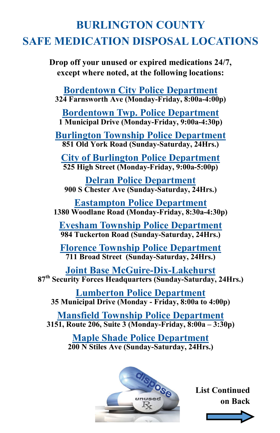## **BURLINGTON COUNTY SAFE MEDICATION DISPOSAL LOCATIONS**

**Drop off your unused or expired medications 24/7, except where noted, at the following locations:**

**Bordentown City Police Department 324 Farnsworth Ave (Monday-Friday, 8:00a-4:00p)**

**Bordentown Twp. Police Department 1 Municipal Drive (Monday-Friday, 9:00a-4:30p)**

**Burlington Township Police Department 851 Old York Road (Sunday-Saturday, 24Hrs.)**

**City of Burlington Police Department 525 High Street (Monday-Friday, 9:00a-5:00p)**

**Delran Police Department 900 S Chester Ave (Sunday-Saturday, 24Hrs.)**

**Eastampton Police Department 1380 Woodlane Road (Monday-Friday, 8:30a-4:30p)**

**Evesham Township Police Department 984 Tuckerton Road (Sunday-Saturday, 24Hrs.)**

**Florence Township Police Department 711 Broad Street (Sunday-Saturday, 24Hrs.)**

**Joint Base McGuire-Dix-Lakehurst 87th Security Forces Headquarters (Sunday-Saturday, 24Hrs.)**

**Lumberton Police Department 35 Municipal Drive (Monday - Friday, 8:00a to 4:00p)**

**Mansfield Township Police Department 3151, Route 206, Suite 3 (Monday-Friday, 8:00a – 3:30p)**

> **Maple Shade Police Department 200 N Stiles Ave (Sunday-Saturday, 24Hrs.)**



**List Continued on Back**